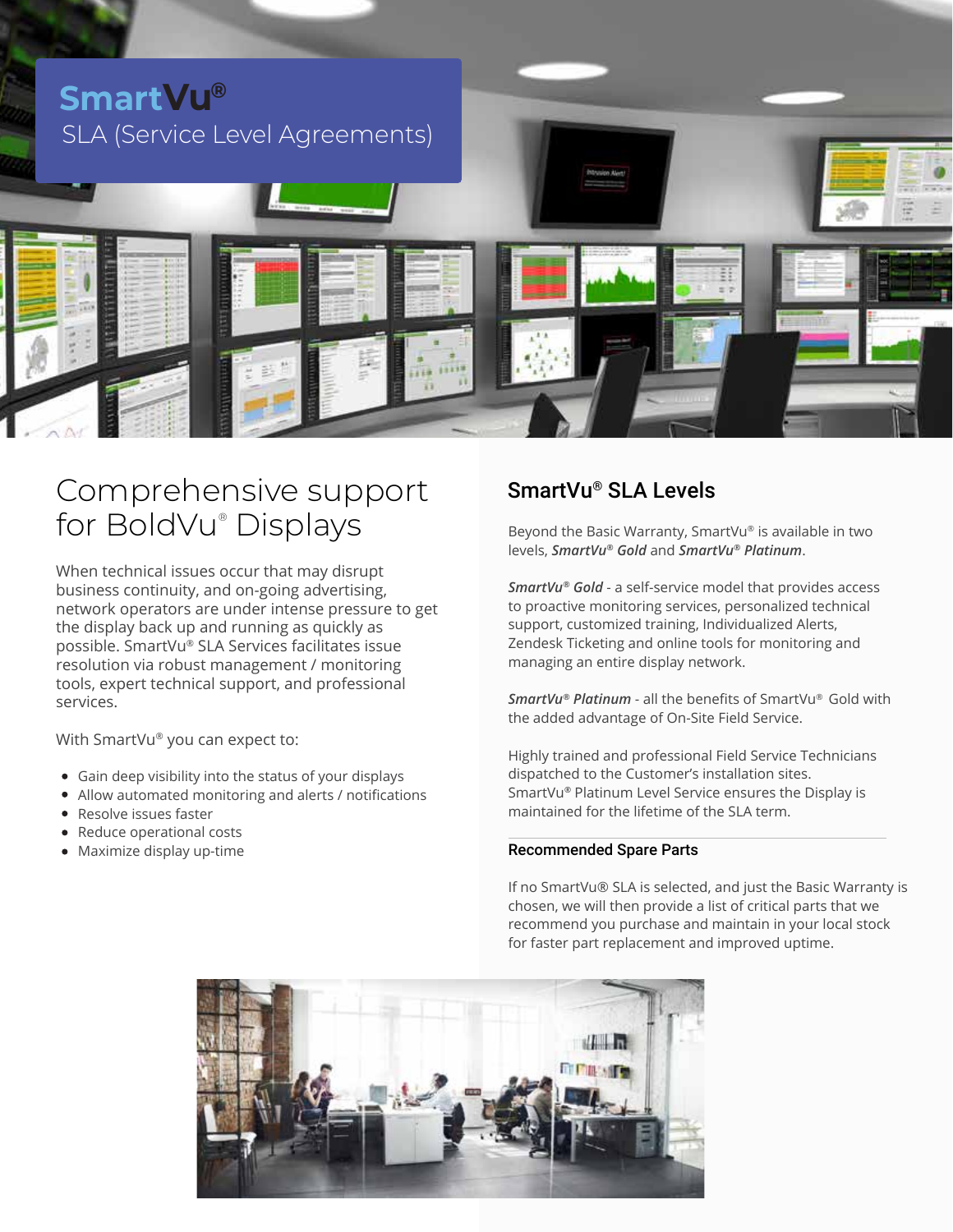

# Comprehensive support for BoldVu® Displays

When technical issues occur that may disrupt business continuity, and on-going advertising, network operators are under intense pressure to get the display back up and running as quickly as possible. SmartVu® SLA Services facilitates issue resolution via robust management / monitoring tools, expert technical support, and professional services.

With SmartVu® you can expect to:

- Gain deep visibility into the status of your displays
- Allow automated monitoring and alerts / notifications
- Resolve issues faster
- Reduce operational costs
- Maximize display up-time

## SmartVu® SLA Levels

Beyond the Basic Warranty, SmartVu® is available in two levels, *SmartVu® Gold* and *SmartVu® Platinum*.

*SmartVu® Gold* - a self-service model that provides access to proactive monitoring services, personalized technical support, customized training, Individualized Alerts, Zendesk Ticketing and online tools for monitoring and managing an entire display network.

*SmartVu® Platinum* - all the benefits of SmartVu® Gold with the added advantage of On-Site Field Service.

Highly trained and professional Field Service Technicians dispatched to the Customer's installation sites. SmartVu*®* Platinum Level Service ensures the Display is maintained for the lifetime of the SLA term.

#### Recommended Spare Parts

If no SmartVu® SLA is selected, and just the Basic Warranty is chosen, we will then provide a list of critical parts that we recommend you purchase and maintain in your local stock for faster part replacement and improved uptime.

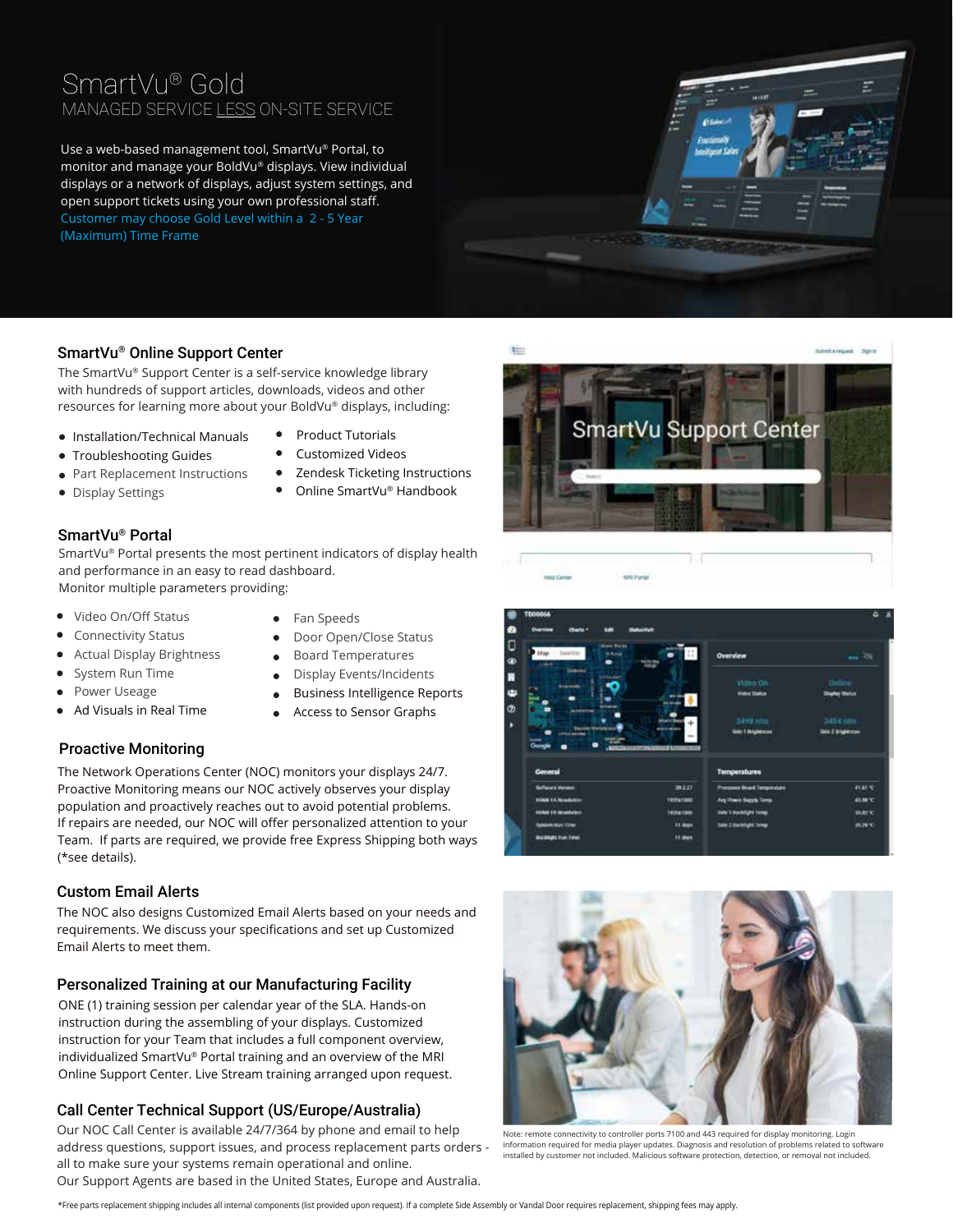## SmartVu® Gold MANAGED SERVICE LESS ON-SITE SERVICE

Use a web-based management tool, SmartVu® Portal, to monitor and manage your BoldVu® displays. View individual displays or a network of displays, adjust system settings, and open support tickets using your own professional staff. Customer may choose Gold Level within a 2 - 5 Year (Maximum) Time Frame



#### SmartVu® Online Support Center

The SmartVu® Support Center is a self-service knowledge library with hundreds of support articles, downloads, videos and other resources for learning more about your BoldVu® displays, including:

- Installation/Technical Manuals
- Troubleshooting Guides
- Part Replacement Instructions
- Display Settings
- Product Tutorials Customized Videos
- 
- 
- Zendesk Ticketing Instructions
- 
- Online SmartVu® Handbook

#### SmartVu® Portal

SmartVu® Portal presents the most pertinent indicators of display health and performance in an easy to read dashboard. Monitor multiple parameters providing:

Video On/Off Status

- 
- Connectivity Status
- Actual Display Brightness
- System Run Time Power Useage
- 
- Ad Visuals in Real Time

#### Proactive Monitoring

- Fan Speeds  $\bullet$
- Door Open/Close Status  $\bullet$
- $\bullet$ Board Temperatures
- Display Events/Incidents  $\bullet$
- $\bullet$ Business Intelligence Reports  $\bullet$
- Access to Sensor Graphs

The Network Operations Center (NOC) monitors your displays 24/7. Proactive Monitoring means our NOC actively observes your display population and proactively reaches out to avoid potential problems. If repairs are needed, our NOC will offer personalized attention to your Team. If parts are required, we provide free Express Shipping both ways (\*see details).

#### Custom Email Alerts

The NOC also designs Customized Email Alerts based on your needs and requirements. We discuss your specifications and set up Customized Email Alerts to meet them.

#### Personalized Training at our Manufacturing Facility

ONE (1) training session per calendar year of the SLA. Hands-on instruction during the assembling of your displays. Customized instruction for your Team that includes a full component overview, individualized SmartVu® Portal training and an overview of the MRI Online Support Center. Live Stream training arranged upon request.

#### Call Center Technical Support (US/Europe/Australia)

Our NOC Call Center is available 24/7/364 by phone and email to help address questions, support issues, and process replacement parts orders all to make sure your systems remain operational and online. Our Support Agents are based in the United States, Europe and Australia.

**SmartVu Support Center** 





Note: remote connectivity to controller ports 7100 and 443 required for display monitoring. Login information required for media player updates. Diagnosis and resolution of problems related to software installed by customer not included. Malicious software protection, detection, or removal not included.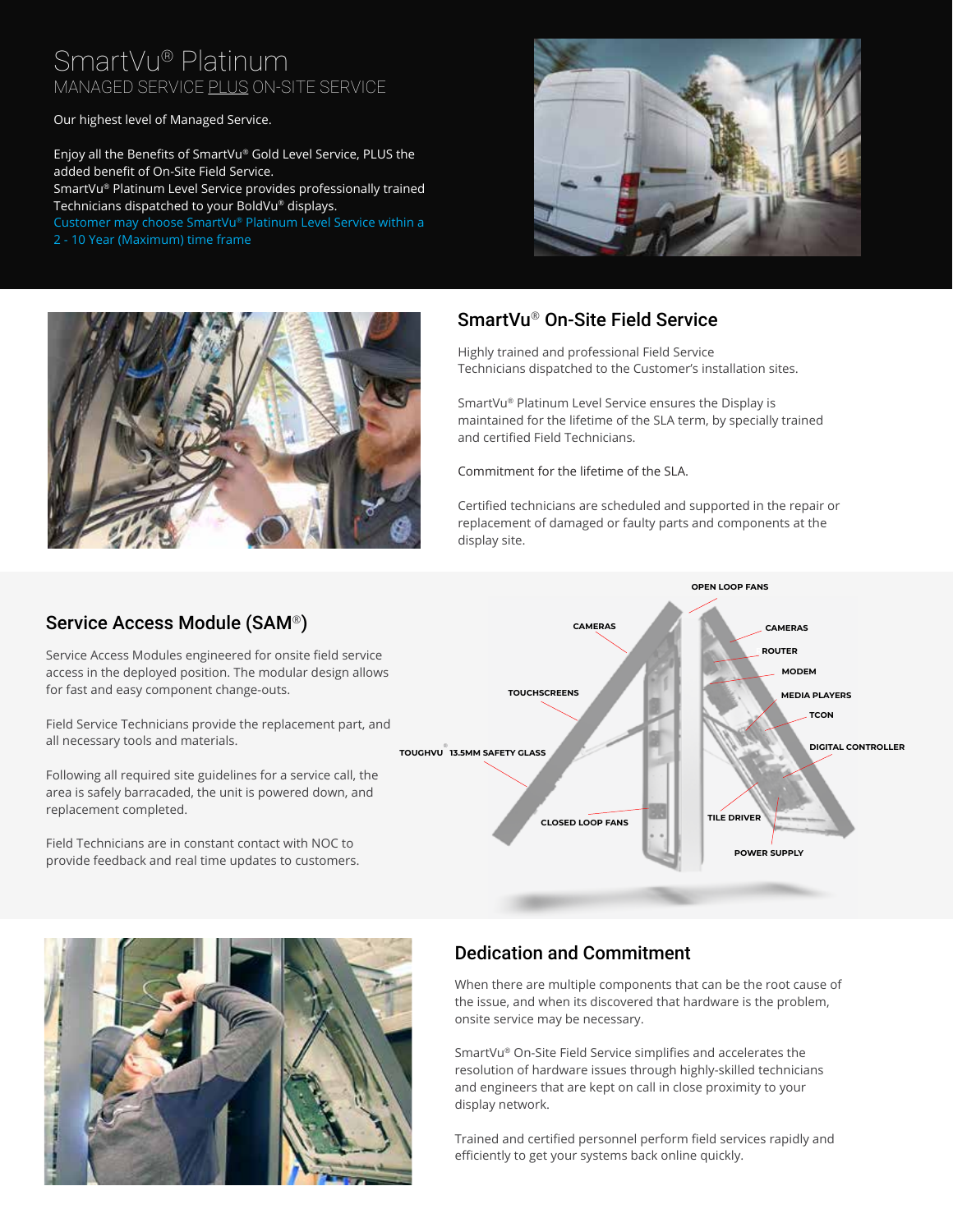## SmartVu® Platinum MANAGED SERVICE PLUS ON-SITE SERVICE

Our highest level of Managed Service.

Enjoy all the Benefits of SmartVu® Gold Level Service, PLUS the added benefit of On-Site Field Service. SmartVu® Platinum Level Service provides professionally trained Technicians dispatched to your BoldVu® displays. Customer may choose SmartVu® Platinum Level Service within a 2 - 10 Year (Maximum) time frame





### SmartVu® On-Site Field Service

Highly trained and professional Field Service Technicians dispatched to the Customer's installation sites.

SmartVu® Platinum Level Service ensures the Display is maintained for the lifetime of the SLA term, by specially trained and certified Field Technicians.

Commitment for the lifetime of the SLA.

Certified technicians are scheduled and supported in the repair or replacement of damaged or faulty parts and components at the display site.

## Service Access Module (SAM®)

Service Access Modules engineered for onsite field service access in the deployed position. The modular design allows for fast and easy component change-outs.

Field Service Technicians provide the replacement part, and all necessary tools and materials.

Following all required site guidelines for a service call, the area is safely barracaded, the unit is powered down, and replacement completed.

Field Technicians are in constant contact with NOC to provide feedback and real time updates to customers.

![](_page_2_Figure_15.jpeg)

![](_page_2_Picture_16.jpeg)

### Dedication and Commitment

When there are multiple components that can be the root cause of the issue, and when its discovered that hardware is the problem, onsite service may be necessary.

SmartVu® On-Site Field Service simplifies and accelerates the resolution of hardware issues through highly-skilled technicians and engineers that are kept on call in close proximity to your display network.

Trained and certified personnel perform field services rapidly and efficiently to get your systems back online quickly.